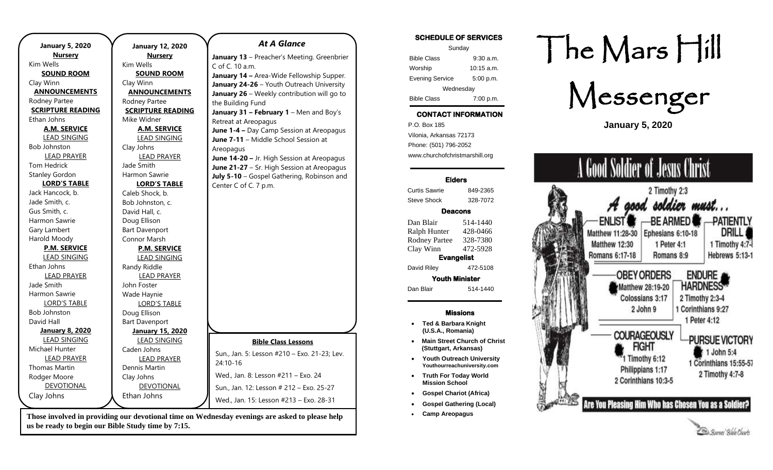| <b>January 5, 2020</b>   | <b>January 12, 2020</b>  | <b>At A Glance</b>                           |
|--------------------------|--------------------------|----------------------------------------------|
| <b>Nursery</b>           | <b>Nursery</b>           | January 13 - Preacher's Meeting. Greenbrier  |
| Kim Wells                | Kim Wells                | C of C. 10 a.m.                              |
| <b>SOUND ROOM</b>        | <b>SOUND ROOM</b>        | January 14 - Area-Wide Fellowship Supper.    |
| Clay Winn                | Clay Winn                | January 24-26 - Youth Outreach University    |
| <b>ANNOUNCEMENTS</b>     | <b>ANNOUNCEMENTS</b>     | January 26 - Weekly contribution will go to  |
| Rodney Partee            | Rodney Partee            | the Building Fund                            |
| <b>SCRIPTURE READING</b> | <b>SCRIPTURE READING</b> | January 31 - February 1 - Men and Boy's      |
| Ethan Johns              | Mike Widner              | Retreat at Areopagus                         |
| A.M. SERVICE             | <b>A.M. SERVICE</b>      | June 1-4 - Day Camp Session at Areopagus     |
| <b>LEAD SINGING</b>      | <b>LEAD SINGING</b>      | June 7-11 - Middle School Session at         |
| <b>Bob Johnston</b>      | Clay Johns               | Areopagus                                    |
| <b>LEAD PRAYER</b>       | <b>LEAD PRAYER</b>       | June 14-20 - Jr. High Session at Areopagus   |
| <b>Tom Hedrick</b>       | Jade Smith               | June 21-27 - Sr. High Session at Areopagus   |
| <b>Stanley Gordon</b>    | Harmon Sawrie            | July 5-10 - Gospel Gathering, Robinson and   |
| <b>LORD'S TABLE</b>      | <b>LORD'S TABLE</b>      | Center C of C. 7 p.m.                        |
| Jack Hancock, b.         | Caleb Shock, b.          |                                              |
| Jade Smith, c.           | Bob Johnston, c.         |                                              |
| Gus Smith, c.            | David Hall, c.           |                                              |
| Harmon Sawrie            | Doug Ellison             |                                              |
| Gary Lambert             | <b>Bart Davenport</b>    |                                              |
| Harold Moody             | Connor Marsh             |                                              |
| <b>P.M. SERVICE</b>      | <b>P.M. SERVICE</b>      |                                              |
| <b>LEAD SINGING</b>      | <b>LEAD SINGING</b>      |                                              |
| Ethan Johns              | Randy Riddle             |                                              |
| <b>LEAD PRAYER</b>       | <b>LEAD PRAYER</b>       |                                              |
| Jade Smith               | John Foster              |                                              |
| Harmon Sawrie            | Wade Haynie              |                                              |
| <b>LORD'S TABLE</b>      | <b>LORD'S TABLE</b>      |                                              |
| <b>Bob Johnston</b>      | Doug Ellison             |                                              |
| David Hall               | <b>Bart Davenport</b>    |                                              |
| <b>January 8, 2020</b>   | <b>January 15, 2020</b>  |                                              |
| <b>LEAD SINGING</b>      | <b>LEAD SINGING</b>      | <b>Bible Class Lessons</b>                   |
| Michael Hunter           | Caden Johns              |                                              |
| <b>LEAD PRAYER</b>       | <b>LEAD PRAYER</b>       | Sun., Jan. 5: Lesson #210 - Exo. 21-23; Lev. |
| <b>Thomas Martin</b>     | Dennis Martin            | 24:10-16                                     |
| Rodger Moore             | Clay Johns               | Wed., Jan. 8: Lesson #211 - Exo. 24          |
| <b>DEVOTIONAL</b>        | DEVOTIONAL               | Sun., Jan. 12: Lesson # 212 - Exo. 25-27     |
| Clay Johns               | Ethan Johns              |                                              |
|                          |                          | Wed., Jan. 15: Lesson #213 - Exo. 28-31      |

**Those involved in providing our devotional time on Wednesday evenings are asked to please help us be ready to begin our Bible Study time by 7:15.** 

### **SCHEDULE OF SERVICES**

| Sunday                 |              |  |  |
|------------------------|--------------|--|--|
| <b>Bible Class</b>     | $9:30$ a.m.  |  |  |
| Worship                | $10:15$ a.m. |  |  |
| <b>Evening Service</b> | 5:00 p.m.    |  |  |
| Wednesday              |              |  |  |
| <b>Bible Class</b>     | 7:00 p.m.    |  |  |

## **CONTACT INFORMATION**

. .o. Box 166<br>Vilonia, Arkansas 72173 P.O. Box 185 Phone: (501) 796-2052 www.churchofchristmarshill.org

### **Elders**

Curtis Sawrie 849-2365 Steve Shock 328-7072

### **Deacons**

Dan Blair 514-1440 Ralph Hunter 428-0466 Rodney Partee 328-7380 Clay Winn 472-5928 **Evangelist**  David Riley 472-5108 **Youth Minister**  Dan Blair 514-1440

### **Missions**

- **Ted & Barbara Knight (U.S.A., Romania)**
- **Main Street Church of Christ (Stuttgart, Arkansas)**
- **Youth Outreach University Youthourreachuniversity.com**
- **Truth For Today World Mission School**
- **Gospel Chariot (Africa)**
- **Gospel Gathering (Local)**
- **Camp Areopagus**

# The Mars Hill

Messenger

**January 5, 2020**